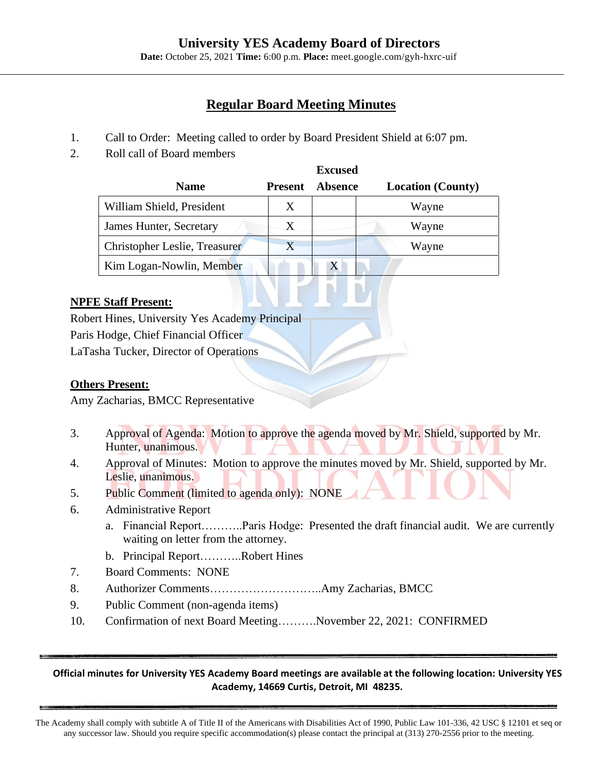# **University YES Academy Board of Directors**

**Date:** October 25, 2021 **Time:** 6:00 p.m. **Place:** meet.google.com/gyh-hxrc-uif

# **Regular Board Meeting Minutes**

- 1. Call to Order: Meeting called to order by Board President Shield at 6:07 pm.
- 2. Roll call of Board members

|                               |                | <b>Excused</b> |                          |
|-------------------------------|----------------|----------------|--------------------------|
| <b>Name</b>                   | <b>Present</b> | <b>Absence</b> | <b>Location</b> (County) |
| William Shield, President     | X              |                | Wayne                    |
| James Hunter, Secretary       | X              |                | Wayne                    |
| Christopher Leslie, Treasurer | $\overline{X}$ |                | Wayne                    |
| Kim Logan-Nowlin, Member      |                | X              |                          |

#### **NPFE Staff Present:**

Robert Hines, University Yes Academy Principal Paris Hodge, Chief Financial Officer LaTasha Tucker, Director of Operations

### **Others Present:**

Amy Zacharias, BMCC Representative

- 3. Approval of Agenda: Motion to approve the agenda moved by Mr. Shield, supported by Mr. Hunter, unanimous.
- 4. Approval of Minutes: Motion to approve the minutes moved by Mr. Shield, supported by Mr. Leslie, unanimous.
- 5. Public Comment (limited to agenda only): NONE
- 6. Administrative Report
	- a. Financial Report………..Paris Hodge: Presented the draft financial audit. We are currently waiting on letter from the attorney.
	- b. Principal Report………..Robert Hines
- 7. Board Comments: NONE
- 8. Authorizer Comments………………………..Amy Zacharias, BMCC
- 9. Public Comment (non-agenda items)
- 10. Confirmation of next Board Meeting……….November 22, 2021: CONFIRMED

#### **Official minutes for University YES Academy Board meetings are available at the following location: University YES Academy, 14669 Curtis, Detroit, MI 48235.**

The Academy shall comply with subtitle A of Title II of the Americans with Disabilities Act of 1990, Public Law 101-336, 42 USC § 12101 et seq or any successor law. Should you require specific accommodation(s) please contact the principal at (313) 270-2556 prior to the meeting.